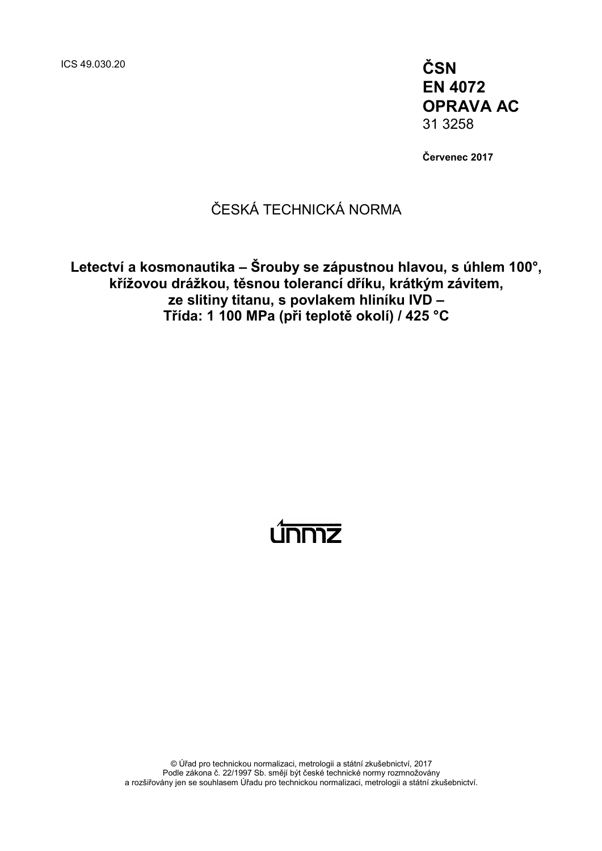ICS 49.030.20 **ČSN**

**EN 4072 OPRAVA AC** 31 3258

**Červenec 2017**

## ČESKÁ TECHNICKÁ NORMA

**Letectví a kosmonautika – Šrouby se zápustnou hlavou, s úhlem 100°, křížovou drážkou, těsnou tolerancí dříku, krátkým závitem, ze slitiny titanu, s povlakem hliníku IVD – Třída: 1 100 MPa (při teplotě okolí) / 425 °C**

# <u>únmz</u>

© Úřad pro technickou normalizaci, metrologii a státní zkušebnictví, 2017 Podle zákona č. 22/1997 Sb. smějí být české technické normy rozmnožovány a rozšiřovány jen se souhlasem Úřadu pro technickou normalizaci, metrologii a státní zkušebnictví.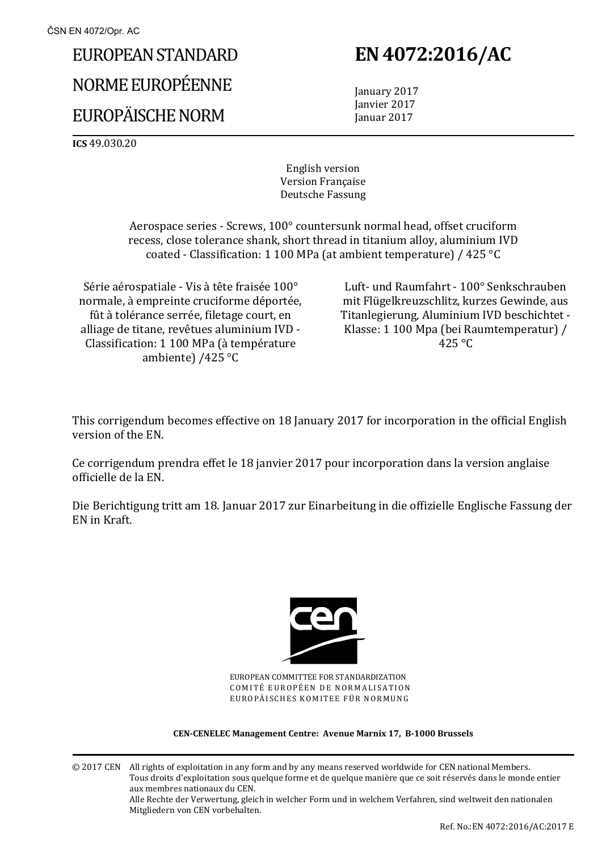# EUROPEAN STANDARD NORME EUROPÉENNE EUROPÄISCHE NORM

# **EN 4072:2016/AC**

 January 2017 Janvier 2017 Januar 2017

**ICS** 49.030.20

English version Version Française Deutsche Fassung

 Aerospace series - Screws, 100° countersunk normal head, offset cruciform recess, close tolerance shank, short thread in titanium alloy, aluminium IVD coated - Classification: 1 100 MPa (at ambient temperature) / 425 °C

Série aérospatiale - Vis à tête fraisée 100° normale, à empreinte cruciforme déportée, fût à tolérance serrée, filetage court, en alliage de titane, revêtues aluminium IVD - Classification: 1 100 MPa (à température ambiente) /425 °C

 Luft- und Raumfahrt - 100° Senkschrauben mit Flügelkreuzschlitz, kurzes Gewinde, aus Titanlegierung, Aluminium IVD beschichtet - Klasse: 1 100 Mpa (bei Raumtemperatur) / 425 °C

This corrigendum becomes effective on 18 January 2017 for incorporation in the official English version of the EN.

Ce corrigendum prendra effet le 18 janvier 2017 pour incorporation dans la version anglaise officielle de la EN.

Die Berichtigung tritt am 18. Januar 2017 zur Einarbeitung in die offizielle Englische Fassung der EN in Kraft.



EUROPEAN COMMITTEE FOR STANDARDIZATION COMITÉ EUROPÉEN DE NORMALISATION EUROPÄISCHES KOMITEE FÜR NORMUNG

#### **CEN-CENELEC Management Centre: Avenue Marnix 17, B-1000 Brussels**

© 2017 CEN All rights of exploitation in any form and by any means reserved worldwide for CEN national Members. Tous droits d'exploitation sous quelque forme et de quelque manière que ce soit réservés dans le monde entier aux membres nationaux du CEN. Alle Rechte der Verwertung, gleich in welcher Form und in welchem Verfahren, sind weltweit den nationalen Mitgliedern von CEN vorbehalten.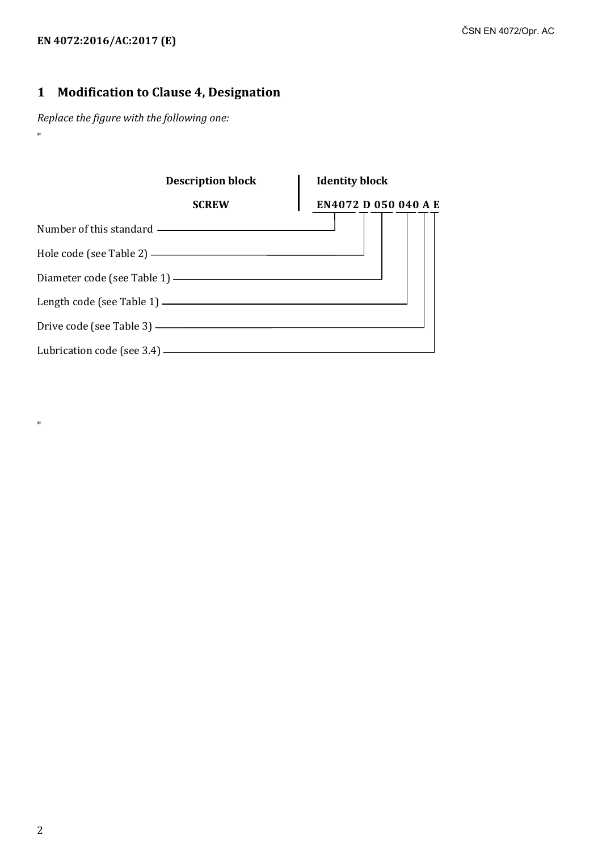### **EN 4072:2016/AC:2017 (E)**

### **1 Modification to Clause 4, Designation**

*Replace the figure with the following one:* "

|                              | <b>Description block</b>                         | <b>Identity block</b> |  |
|------------------------------|--------------------------------------------------|-----------------------|--|
|                              | <b>SCREW</b>                                     | EN4072 D 050 040 A E  |  |
|                              | Number of this standard ————————————————————     |                       |  |
|                              | Hole code (see Table 2) ————————————————————     |                       |  |
|                              | Diameter code (see Table 1) ———————————————————— |                       |  |
|                              | Length code (see Table 1) $\longrightarrow$      |                       |  |
| Drive code (see Table 3) —   |                                                  |                       |  |
| Lubrication code (see 3.4) — |                                                  |                       |  |

 $\mathbf{u}$